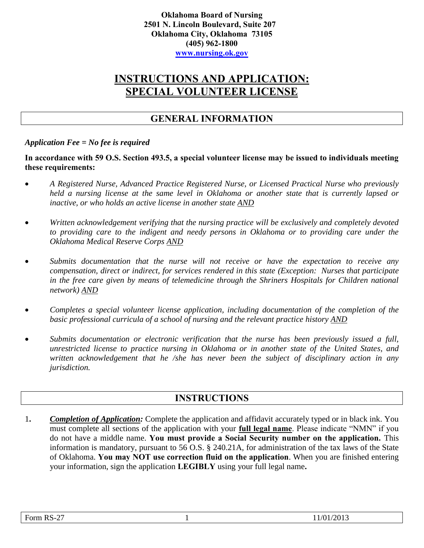**Oklahoma Board of Nursing 2501 N. Lincoln Boulevard, Suite 207 Oklahoma City, Oklahoma 73105 (405) 962-1800 [www.nursing.ok.gov](http://www.ok.gov/nursing)**

# **INSTRUCTIONS AND APPLICATION: SPECIAL VOLUNTEER LICENSE**

# **GENERAL INFORMATION**

### *Application Fee = No fee is required*

**In accordance with 59 O.S. Section 493.5, a special volunteer license may be issued to individuals meeting these requirements:** 

- *A Registered Nurse, Advanced Practice Registered Nurse, or Licensed Practical Nurse who previously held a nursing license at the same level in Oklahoma or another state that is currently lapsed or inactive, or who holds an active license in another state AND*
- *Written acknowledgement verifying that the nursing practice will be exclusively and completely devoted to providing care to the indigent and needy persons in Oklahoma or to providing care under the Oklahoma Medical Reserve Corps AND*
- *Submits documentation that the nurse will not receive or have the expectation to receive any compensation, direct or indirect, for services rendered in this state (Exception: Nurses that participate in the free care given by means of telemedicine through the Shriners Hospitals for Children national network) AND*
- *Completes a special volunteer license application, including documentation of the completion of the basic professional curricula of a school of nursing and the relevant practice history AND*
- *Submits documentation or electronic verification that the nurse has been previously issued a full, unrestricted license to practice nursing in Oklahoma or in another state of the United States, and written acknowledgement that he /she has never been the subject of disciplinary action in any jurisdiction.*

## **INSTRUCTIONS**

1**.** *Completion of Application:* Complete the application and affidavit accurately typed or in black ink. You must complete all sections of the application with your **full legal name**. Please indicate "NMN" if you do not have a middle name. **You must provide a Social Security number on the application.** This information is mandatory, pursuant to 56 O.S. § 240.21A, for administration of the tax laws of the State of Oklahoma. **You may NOT use correction fluid on the application**. When you are finished entering your information, sign the application **LEGIBLY** using your full legal name**.**

| Form RS-27 | 11/01/2013 |
|------------|------------|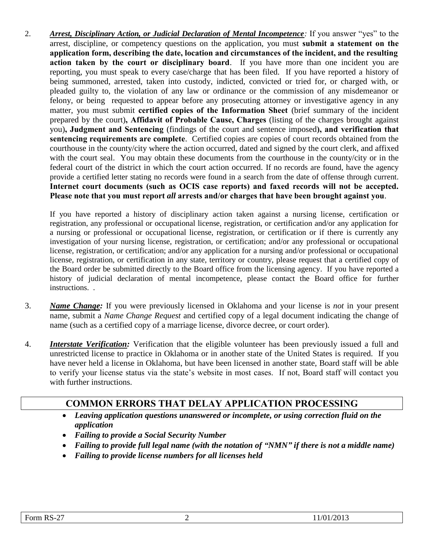2. *Arrest, Disciplinary Action, or Judicial Declaration of Mental Incompetence:* If you answer "yes" to the arrest, discipline, or competency questions on the application, you must **submit a statement on the application form, describing the date, location and circumstances of the incident, and the resulting action taken by the court or disciplinary board**. If you have more than one incident you are reporting, you must speak to every case/charge that has been filed. If you have reported a history of being summoned, arrested, taken into custody, indicted, convicted or tried for, or charged with, or pleaded guilty to, the violation of any law or ordinance or the commission of any misdemeanor or felony, or being requested to appear before any prosecuting attorney or investigative agency in any matter, you must submit **certified copies of the Information Sheet** (brief summary of the incident prepared by the court)**, Affidavit of Probable Cause, Charges** (listing of the charges brought against you)**, Judgment and Sentencing** (findings of the court and sentence imposed**), and verification that sentencing requirements are complete**. Certified copies are copies of court records obtained from the courthouse in the county/city where the action occurred, dated and signed by the court clerk, and affixed with the court seal. You may obtain these documents from the courthouse in the county/city or in the federal court of the district in which the court action occurred. If no records are found, have the agency provide a certified letter stating no records were found in a search from the date of offense through current. **Internet court documents (such as OCIS case reports) and faxed records will not be accepted. Please note that you must report** *all* **arrests and/or charges that have been brought against you**.

If you have reported a history of disciplinary action taken against a nursing license, certification or registration, any professional or occupational license, registration, or certification and/or any application for a nursing or professional or occupational license, registration, or certification or if there is currently any investigation of your nursing license, registration, or certification; and/or any professional or occupational license, registration, or certification; and/or any application for a nursing and/or professional or occupational license, registration, or certification in any state, territory or country, please request that a certified copy of the Board order be submitted directly to the Board office from the licensing agency. If you have reported a history of judicial declaration of mental incompetence, please contact the Board office for further instructions. .

- 3. *Name Change:* If you were previously licensed in Oklahoma and your license is *not* in your present name, submit a *Name Change Request* and certified copy of a legal document indicating the change of name (such as a certified copy of a marriage license, divorce decree, or court order).
- 4. *Interstate Verification:* Verification that the eligible volunteer has been previously issued a full and unrestricted license to practice in Oklahoma or in another state of the United States is required. If you have never held a license in Oklahoma, but have been licensed in another state, Board staff will be able to verify your license status via the state's website in most cases. If not, Board staff will contact you with further instructions.

# **COMMON ERRORS THAT DELAY APPLICATION PROCESSING**

- *Leaving application questions unanswered or incomplete, or using correction fluid on the application*
- *Failing to provide a Social Security Number*
- *Failing to provide full legal name (with the notation of "NMN" if there is not a middle name)*
- *Failing to provide license numbers for all licenses held*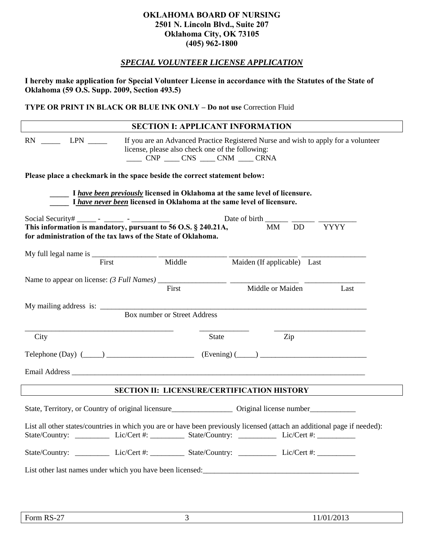### **OKLAHOMA BOARD OF NURSING 2501 N. Lincoln Blvd., Suite 207 Oklahoma City, OK 73105 (405) 962-1800**

### *SPECIAL VOLUNTEER LICENSE APPLICATION*

**I hereby make application for Special Volunteer License in accordance with the Statutes of the State of Oklahoma (59 O.S. Supp. 2009, Section 493.5)** 

**TYPE OR PRINT IN BLACK OR BLUE INK ONLY – Do not use** Correction Fluid

|                                                                                                                                                                                                                                                                                                    | <b>SECTION I: APPLICANT INFORMATION</b>                                                                                                                                                                            |                                    |                                                                                       |     |             |
|----------------------------------------------------------------------------------------------------------------------------------------------------------------------------------------------------------------------------------------------------------------------------------------------------|--------------------------------------------------------------------------------------------------------------------------------------------------------------------------------------------------------------------|------------------------------------|---------------------------------------------------------------------------------------|-----|-------------|
| $RN$ $LPN$ $LPN$                                                                                                                                                                                                                                                                                   | If you are an Advanced Practice Registered Nurse and wish to apply for a volunteer<br>license, please also check one of the following:<br>$\frac{1}{2}$ CNP $\frac{1}{2}$ CNS $\frac{1}{2}$ CNM $\frac{1}{2}$ CRNA |                                    |                                                                                       |     |             |
| Please place a checkmark in the space beside the correct statement below:                                                                                                                                                                                                                          |                                                                                                                                                                                                                    |                                    |                                                                                       |     |             |
|                                                                                                                                                                                                                                                                                                    | I have been previously licensed in Oklahoma at the same level of licensure.<br>I have never been licensed in Oklahoma at the same level of licensure.                                                              |                                    |                                                                                       |     |             |
| Social Security# _______ - _______ - ___________                                                                                                                                                                                                                                                   |                                                                                                                                                                                                                    |                                    | Date of birth $\frac{\phantom{1}}{2}$ $\frac{\phantom{1}}{2}$ $\frac{\phantom{1}}{2}$ |     |             |
| This information is mandatory, pursuant to 56 O.S. $\S$ 240.21A,<br>for administration of the tax laws of the State of Oklahoma.                                                                                                                                                                   |                                                                                                                                                                                                                    |                                    | MM DD                                                                                 |     | <b>YYYY</b> |
| My full legal name is $\frac{1}{2}$ = $\frac{1}{2}$ = $\frac{1}{2}$ = $\frac{1}{2}$ = $\frac{1}{2}$ = $\frac{1}{2}$ = $\frac{1}{2}$ = $\frac{1}{2}$ = $\frac{1}{2}$ = $\frac{1}{2}$ = $\frac{1}{2}$ = $\frac{1}{2}$ = $\frac{1}{2}$ = $\frac{1}{2}$ = $\frac{1}{2}$ = $\frac{1}{2}$ = $\frac{1}{2$ |                                                                                                                                                                                                                    |                                    |                                                                                       |     |             |
| First                                                                                                                                                                                                                                                                                              |                                                                                                                                                                                                                    | Middle Maiden (If applicable) Last |                                                                                       |     |             |
|                                                                                                                                                                                                                                                                                                    | First                                                                                                                                                                                                              |                                    | Middle or Maiden Last                                                                 |     |             |
|                                                                                                                                                                                                                                                                                                    |                                                                                                                                                                                                                    |                                    |                                                                                       |     |             |
| My mailing address is: Box number or Street Address                                                                                                                                                                                                                                                |                                                                                                                                                                                                                    |                                    |                                                                                       |     |             |
| City                                                                                                                                                                                                                                                                                               |                                                                                                                                                                                                                    | State                              |                                                                                       | Zip |             |
|                                                                                                                                                                                                                                                                                                    |                                                                                                                                                                                                                    |                                    |                                                                                       |     |             |
| Telephone (Day) $(\_\_\_\_\_\_\_\_\_\_\$ (Evening) $(\_\_\_\_\_\_\_\_\_\_\_$                                                                                                                                                                                                                       |                                                                                                                                                                                                                    |                                    |                                                                                       |     |             |
|                                                                                                                                                                                                                                                                                                    |                                                                                                                                                                                                                    |                                    |                                                                                       |     |             |
|                                                                                                                                                                                                                                                                                                    | <b>SECTION II: LICENSURE/CERTIFICATION HISTORY</b>                                                                                                                                                                 |                                    |                                                                                       |     |             |
|                                                                                                                                                                                                                                                                                                    |                                                                                                                                                                                                                    |                                    |                                                                                       |     |             |
| State, Territory, or Country of original licensure<br><u>Coriginal license number</u>                                                                                                                                                                                                              |                                                                                                                                                                                                                    |                                    |                                                                                       |     |             |
| List all other states/countries in which you are or have been previously licensed (attach an additional page if needed):<br>State/Country: ____________ Lic/Cert #: __________ State/Country: ____________ Lic/Cert #: _________                                                                   |                                                                                                                                                                                                                    |                                    |                                                                                       |     |             |
| State/Country: ___________ Lic/Cert #: _________ State/Country: ___________ Lic/Cert #: ___________                                                                                                                                                                                                |                                                                                                                                                                                                                    |                                    |                                                                                       |     |             |
|                                                                                                                                                                                                                                                                                                    |                                                                                                                                                                                                                    |                                    |                                                                                       |     |             |
| List other last names under which you have been licensed:<br><u>List</u> other last names under which you have been licensed:                                                                                                                                                                      |                                                                                                                                                                                                                    |                                    |                                                                                       |     |             |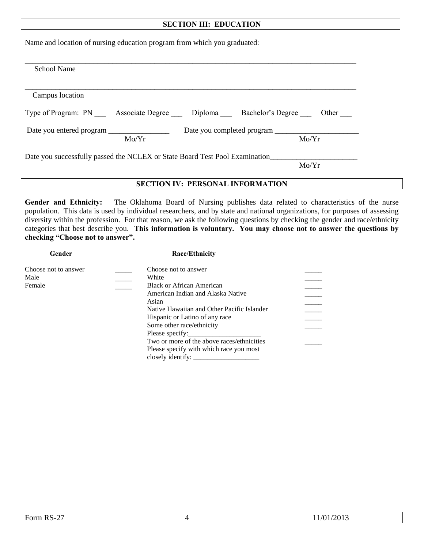#### **SECTION III: EDUCATION**

Name and location of nursing education program from which you graduated:

| <b>School Name</b>                                                          |       |
|-----------------------------------------------------------------------------|-------|
|                                                                             |       |
| Campus location                                                             |       |
| Type of Program: PN Associate Degree Diploma Bachelor's Degree              | Other |
|                                                                             |       |
|                                                                             |       |
| Mo/Yr                                                                       | Mo/Yr |
| Date you successfully passed the NCLEX or State Board Test Pool Examination |       |

**Gender and Ethnicity:** The Oklahoma Board of Nursing publishes data related to characteristics of the nurse population. This data is used by individual researchers, and by state and national organizations, for purposes of assessing diversity within the profession. For that reason, we ask the following questions by checking the gender and race/ethnicity categories that best describe you. **This information is voluntary. You may choose not to answer the questions by checking "Choose not to answer".** 

| Gender               | Race/Ethnicity                             |  |  |  |
|----------------------|--------------------------------------------|--|--|--|
| Choose not to answer | Choose not to answer                       |  |  |  |
| Male                 | White                                      |  |  |  |
| Female               | <b>Black or African American</b>           |  |  |  |
|                      | American Indian and Alaska Native          |  |  |  |
|                      | Asian                                      |  |  |  |
|                      | Native Hawaiian and Other Pacific Islander |  |  |  |
|                      | Hispanic or Latino of any race             |  |  |  |
|                      | Some other race/ethnicity                  |  |  |  |
|                      | Please specify:                            |  |  |  |
|                      | Two or more of the above races/ethnicities |  |  |  |
|                      | Please specify with which race you most    |  |  |  |
|                      | closely identify:                          |  |  |  |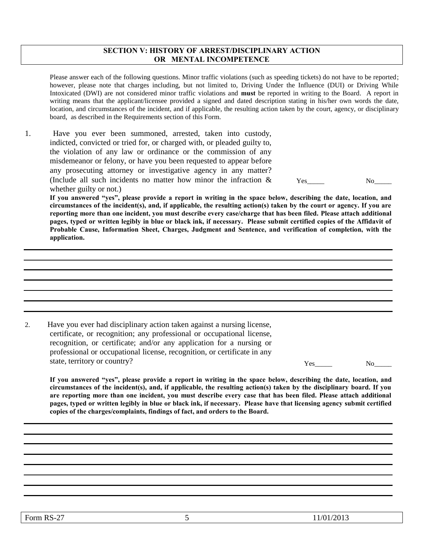#### **SECTION V: HISTORY OF ARREST/DISCIPLINARY ACTION OR MENTAL INCOMPETENCE**

Please answer each of the following questions. Minor traffic violations (such as speeding tickets) do not have to be reported; however, please note that charges including, but not limited to, Driving Under the Influence (DUI) or Driving While Intoxicated (DWI) are not considered minor traffic violations and **must** be reported in writing to the Board. A report in writing means that the applicant/licensee provided a signed and dated description stating in his/her own words the date, location, and circumstances of the incident, and if applicable, the resulting action taken by the court, agency, or disciplinary board, as described in the Requirements section of this Form.

1. Have you ever been summoned, arrested, taken into custody, indicted, convicted or tried for, or charged with, or pleaded guilty to, the violation of any law or ordinance or the commission of any misdemeanor or felony, or have you been requested to appear before any prosecuting attorney or investigative agency in any matter? (Include all such incidents no matter how minor the infraction & whether guilty or not.)

Yes No

**If you answered "yes", please provide a report in writing in the space below, describing the date, location, and circumstances of the incident(s), and, if applicable, the resulting action(s) taken by the court or agency. If you are reporting more than one incident, you must describe every case/charge that has been filed. Please attach additional pages, typed or written legibly in blue or black ink, if necessary. Please submit certified copies of the Affidavit of Probable Cause, Information Sheet, Charges, Judgment and Sentence, and verification of completion, with the application.** 

2. Have you ever had disciplinary action taken against a nursing license, certificate, or recognition; any professional or occupational license, recognition, or certificate; and/or any application for a nursing or professional or occupational license, recognition, or certificate in any state, territory or country? No we have not we have not we have not we have not we have  $N_0$ 

**If you answered "yes", please provide a report in writing in the space below, describing the date, location, and circumstances of the incident(s), and, if applicable, the resulting action(s) taken by the disciplinary board. If you are reporting more than one incident, you must describe every case that has been filed. Please attach additional pages, typed or written legibly in blue or black ink, if necessary. Please have that licensing agency submit certified copies of the charges/complaints, findings of fact, and orders to the Board.**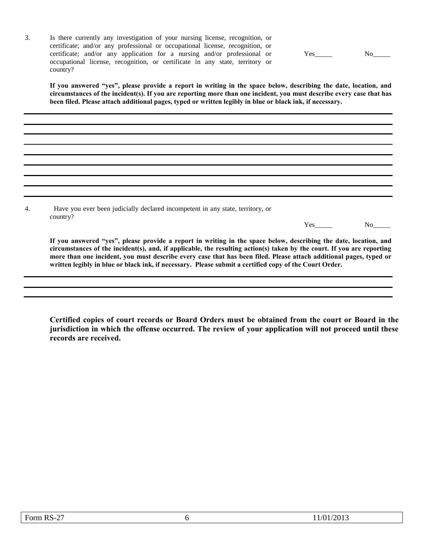3. Is there currently any investigation of your nursing license, recognition, or certificate; and/or any professional or occupational license, recognition, or certificate; and/or any application for a nursing and/or professional or occupational license, recognition, or certificate in any state, territory or country?

Yes\_\_\_\_\_\_\_ No\_\_\_\_\_\_

**If you answered "yes", please provide a report in writing in the space below, describing the date, location, and circumstances of the incident(s). If you are reporting more than one incident, you must describe every case that has been filed. Please attach additional pages, typed or written legibly in blue or black ink, if necessary.**

4. Have you ever been judicially declared incompetent in any state, territory, or country?

Yes No

**If you answered "yes", please provide a report in writing in the space below, describing the date, location, and circumstances of the incident(s), and, if applicable, the resulting action(s) taken by the court. If you are reporting more than one incident, you must describe every case that has been filed. Please attach additional pages, typed or written legibly in blue or black ink, if necessary. Please submit a certified copy of the Court Order.**

**Certified copies of court records or Board Orders must be obtained from the court or Board in the jurisdiction in which the offense occurred. The review of your application will not proceed until these records are received.**